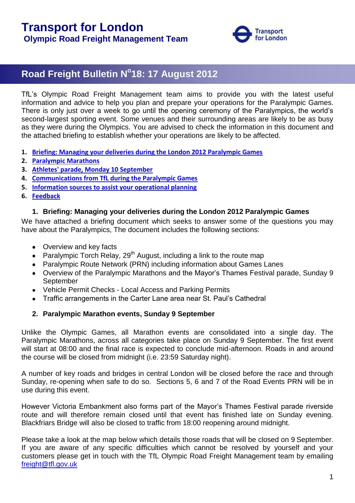

# **Road Freight Bulletin N o 18: 17 August 2012**

TfL"s Olympic Road Freight Management team aims to provide you with the latest useful information and advice to help you plan and prepare your operations for the Paralympic Games. There is only just over a week to go until the opening ceremony of the Paralympics, the world's second-largest sporting event. Some venues and their surrounding areas are likely to be as busy as they were during the Olympics. You are advised to check the information in this document and the attached briefing to establish whether your operations are likely to be affected.

- **1. [Briefing: Managing your deliveries during the London 2012 Paralympic Games](#page-0-0)**
- **2. [Paralympic Marathons](#page-0-1)**
- **3. [Athletes' parade, Monday 10 September](#page-2-0)**
- **4. [Communications from TfL during the Paralympic Games](#page-2-1)**
- **5. [Information sources to assist your operational planning](#page-2-2)**
- <span id="page-0-0"></span>**6. [Feedback](#page-3-0)**

#### **1. Briefing: Managing your deliveries during the London 2012 Paralympic Games**

We have attached a briefing document which seeks to answer some of the questions you may have about the Paralympics, The document includes the following sections:

- Overview and key facts
- Paralympic Torch Relay, 29<sup>th</sup> August, including a link to the route map
- Paralympic Route Network (PRN) including information about Games Lanes
- Overview of the Paralympic Marathons and the Mayor"s Thames Festival parade, Sunday 9 September
- Vehicle Permit Checks Local Access and Parking Permits
- Traffic arrangements in the Carter Lane area near St. Paul"s Cathedral

# <span id="page-0-1"></span>**2. Paralympic Marathon events, Sunday 9 September**

Unlike the Olympic Games, all Marathon events are consolidated into a single day. The Paralympic Marathons, across all categories take place on Sunday 9 September. The first event will start at 08:00 and the final race is expected to conclude mid-afternoon. Roads in and around the course will be closed from midnight (i.e. 23:59 Saturday night).

A number of key roads and bridges in central London will be closed before the race and through Sunday, re-opening when safe to do so. Sections 5, 6 and 7 of the Road Events PRN will be in use during this event.

However Victoria Embankment also forms part of the Mayor"s Thames Festival parade riverside route and will therefore remain closed until that event has finished late on Sunday evening. Blackfriars Bridge will also be closed to traffic from 18:00 reopening around midnight.

Please take a look at the map below which details those roads that will be closed on 9 September. If you are aware of any specific difficulties which cannot be resolved by yourself and your customers please get in touch with the TfL Olympic Road Freight Management team by emailing [freight@tfl.gov.uk](mailto:freight@tfl.gov.uk)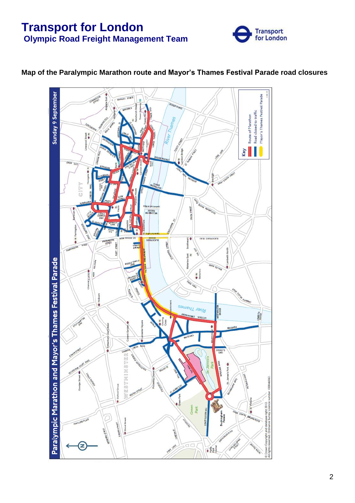

# 18.12 Sunday 9 September Mayor's Thames Festival Parade MANSELL STREET Road closed to traffic Route of Marathon **Vey**  $V_0$ a UNION STREET 390kg **OVER SHARE ROAD** ğ **q** LEBU **THET** TEMPLE<br>AVENUE uer East Paralympic Marathon and Mayor's Thames Festival Parade  $\frac{1}{\sqrt{2}}$ i a River Thame **MEST MENSTER AMBETA**  $\ddot{\Phi}$ TOREY<br>GATE .<br>E 00046062  $T \leqslant$ 2012 Green<br>Park š  $\overline{\gamma_{\mathbf{r}}},$ dO  $+280$

# **Map of the Paralympic Marathon route and Mayor's Thames Festival Parade road closures**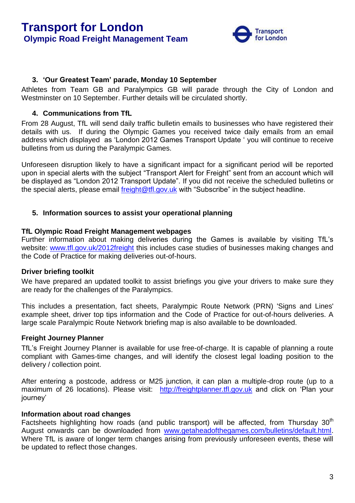

# <span id="page-2-0"></span>**3. 'Our Greatest Team' parade, Monday 10 September**

Athletes from Team GB and Paralympics GB will parade through the City of London and Westminster on 10 September. Further details will be circulated shortly.

# <span id="page-2-1"></span>**4. Communications from TfL**

From 28 August, TfL will send daily traffic bulletin emails to businesses who have registered their details with us. If during the Olympic Games you received twice daily emails from an email address which displayed as "London 2012 Games Transport Update " you will continue to receive bulletins from us during the Paralympic Games.

Unforeseen disruption likely to have a significant impact for a significant period will be reported upon in special alerts with the subject "Transport Alert for Freight" sent from an account which will be displayed as "London 2012 Transport Update". If you did not receive the scheduled bulletins or the special alerts, please email [freight@tfl.gov.uk](mailto:freight@tfl.gov.uk) with "Subscribe" in the subject headline.

# <span id="page-2-2"></span>**5. Information sources to assist your operational planning**

#### **TfL Olympic Road Freight Management webpages**

Further information about making deliveries during the Games is available by visiting TfL"s website: [www.tfl.gov.uk/2012freight](http://www.tfl.gov.uk/2012freight) this includes case studies of businesses making changes and the Code of Practice for making deliveries out-of-hours.

# **Driver briefing toolkit**

We have prepared an updated toolkit to assist briefings you give your drivers to make sure they are ready for the challenges of the Paralympics.

This includes a presentation, fact sheets, Paralympic Route Network (PRN) 'Signs and Lines' example sheet, driver top tips information and the Code of Practice for out-of-hours deliveries. A large scale Paralympic Route Network briefing map is also available to be downloaded.

# **Freight Journey Planner**

TfL"s Freight Journey Planner is available for use free-of-charge. It is capable of planning a route compliant with Games-time changes, and will identify the closest legal loading position to the delivery / collection point.

After entering a postcode, address or M25 junction, it can plan a multiple-drop route (up to a maximum of 26 locations). Please visit: [http://freightplanner.tfl.gov.uk](http://freightplanner.tfl.gov.uk/) and click on 'Plan your iourney'

# **Information about road changes**

Factsheets highlighting how roads (and public transport) will be affected, from Thursday  $30<sup>th</sup>$ August onwards can be downloaded from [www.getaheadofthegames.com/bulletins/default.html.](http://www.getaheadofthegames.com/bulletins/default.html) Where TfL is aware of longer term changes arising from previously unforeseen events, these will be updated to reflect those changes.